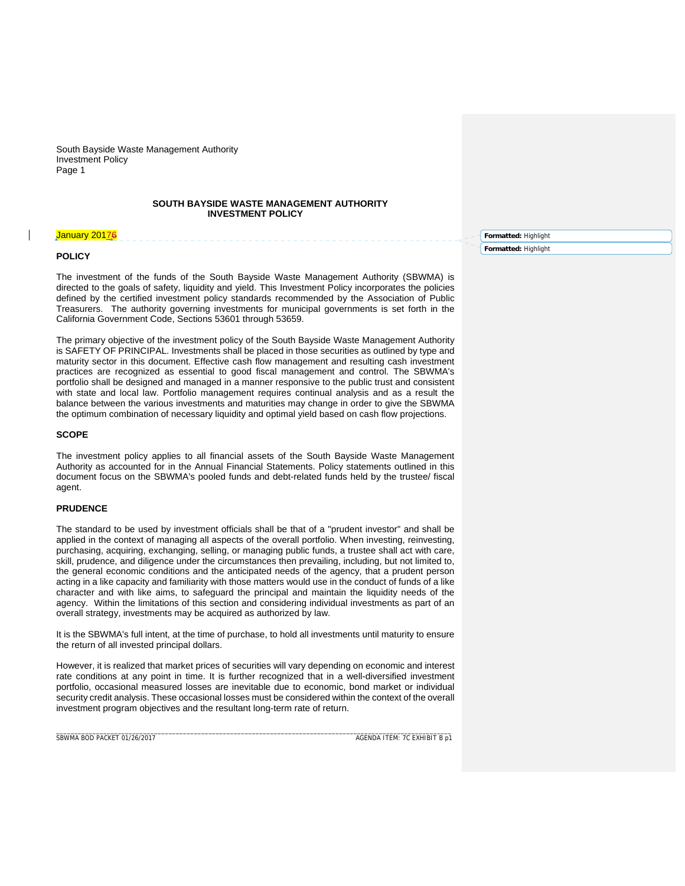## **SOUTH BAYSIDE WASTE MANAGEMENT AUTHORITY INVESTMENT POLICY**

#### January 2017

### **POLICY**

The investment of the funds of the South Bayside Waste Management Authority (SBWMA) is directed to the goals of safety, liquidity and yield. This Investment Policy incorporates the policies defined by the certified investment policy standards recommended by the Association of Public Treasurers. The authority governing investments for municipal governments is set forth in the California Government Code, Sections 53601 through 53659.

The primary objective of the investment policy of the South Bayside Waste Management Authority is SAFETY OF PRINCIPAL. Investments shall be placed in those securities as outlined by type and maturity sector in this document. Effective cash flow management and resulting cash investment practices are recognized as essential to good fiscal management and control. The SBWMA's portfolio shall be designed and managed in a manner responsive to the public trust and consistent with state and local law. Portfolio management requires continual analysis and as a result the balance between the various investments and maturities may change in order to give the SBWMA the optimum combination of necessary liquidity and optimal yield based on cash flow projections.

## **SCOPE**

The investment policy applies to all financial assets of the South Bayside Waste Management Authority as accounted for in the Annual Financial Statements. Policy statements outlined in this document focus on the SBWMA's pooled funds and debt-related funds held by the trustee/ fiscal agent.

# **PRUDENCE**

The standard to be used by investment officials shall be that of a "prudent investor" and shall be applied in the context of managing all aspects of the overall portfolio. When investing, reinvesting, purchasing, acquiring, exchanging, selling, or managing public funds, a trustee shall act with care, skill, prudence, and diligence under the circumstances then prevailing, including, but not limited to, the general economic conditions and the anticipated needs of the agency, that a prudent person acting in a like capacity and familiarity with those matters would use in the conduct of funds of a like character and with like aims, to safeguard the principal and maintain the liquidity needs of the agency. Within the limitations of this section and considering individual investments as part of an overall strategy, investments may be acquired as authorized by law.

It is the SBWMA's full intent, at the time of purchase, to hold all investments until maturity to ensure the return of all invested principal dollars.

However, it is realized that market prices of securities will vary depending on economic and interest rate conditions at any point in time. It is further recognized that in a well-diversified investment portfolio, occasional measured losses are inevitable due to economic, bond market or individual security credit analysis. These occasional losses must be considered within the context of the overall investment program objectives and the resultant long-term rate of return.

\_\_\_\_\_\_\_\_\_\_\_\_\_\_\_\_\_\_\_\_\_\_\_\_\_\_\_\_\_\_\_\_\_\_\_\_\_\_\_\_\_\_\_\_\_\_\_\_\_\_\_\_\_\_\_\_\_\_\_\_\_\_\_\_\_\_\_\_\_\_\_\_\_\_\_\_\_\_\_\_\_\_\_\_\_\_\_\_\_\_\_\_\_\_\_\_\_\_\_\_\_\_\_\_\_\_\_\_\_

SBWMA BOD PACKET 01/26/2017AGENDA ITEM: 7C EXHIBIT B p1

**Formatted:** Highlight

**Formatted:** Highlight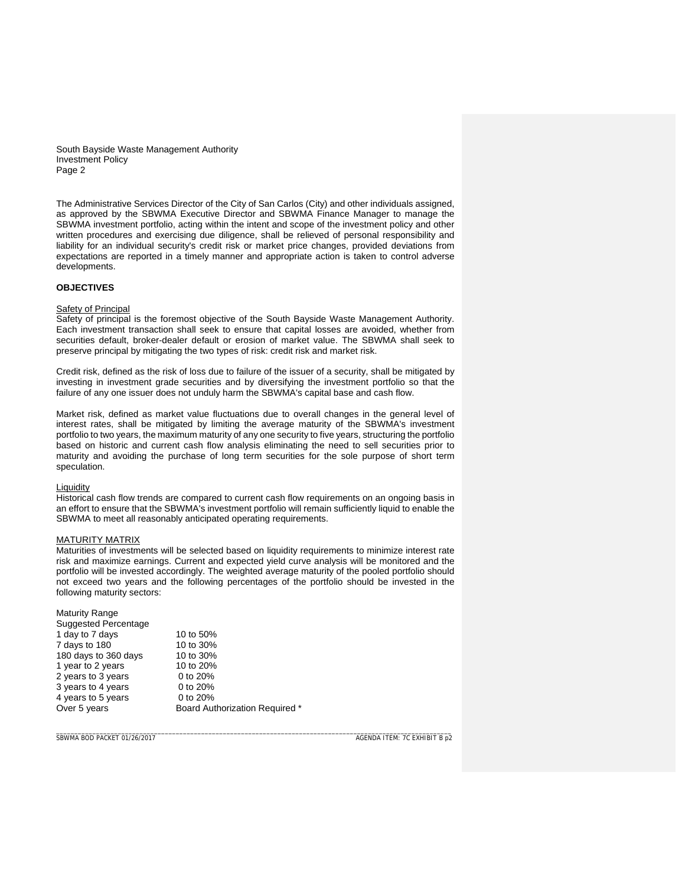The Administrative Services Director of the City of San Carlos (City) and other individuals assigned, as approved by the SBWMA Executive Director and SBWMA Finance Manager to manage the SBWMA investment portfolio, acting within the intent and scope of the investment policy and other written procedures and exercising due diligence, shall be relieved of personal responsibility and liability for an individual security's credit risk or market price changes, provided deviations from expectations are reported in a timely manner and appropriate action is taken to control adverse developments.

## **OBJECTIVES**

#### **Safety of Principal**

Safety of principal is the foremost objective of the South Bayside Waste Management Authority. Each investment transaction shall seek to ensure that capital losses are avoided, whether from securities default, broker-dealer default or erosion of market value. The SBWMA shall seek to preserve principal by mitigating the two types of risk: credit risk and market risk.

Credit risk, defined as the risk of loss due to failure of the issuer of a security, shall be mitigated by investing in investment grade securities and by diversifying the investment portfolio so that the failure of any one issuer does not unduly harm the SBWMA's capital base and cash flow.

Market risk, defined as market value fluctuations due to overall changes in the general level of interest rates, shall be mitigated by limiting the average maturity of the SBWMA's investment portfolio to two years, the maximum maturity of any one security to five years, structuring the portfolio based on historic and current cash flow analysis eliminating the need to sell securities prior to maturity and avoiding the purchase of long term securities for the sole purpose of short term speculation.

### **Liquidity**

Historical cash flow trends are compared to current cash flow requirements on an ongoing basis in an effort to ensure that the SBWMA's investment portfolio will remain sufficiently liquid to enable the SBWMA to meet all reasonably anticipated operating requirements.

### MATURITY MATRIX

Maturities of investments will be selected based on liquidity requirements to minimize interest rate risk and maximize earnings. Current and expected yield curve analysis will be monitored and the portfolio will be invested accordingly. The weighted average maturity of the pooled portfolio should not exceed two years and the following percentages of the portfolio should be invested in the following maturity sectors:

\_\_\_\_\_\_\_\_\_\_\_\_\_\_\_\_\_\_\_\_\_\_\_\_\_\_\_\_\_\_\_\_\_\_\_\_\_\_\_\_\_\_\_\_\_\_\_\_\_\_\_\_\_\_\_\_\_\_\_\_\_\_\_\_\_\_\_\_\_\_\_\_\_\_\_\_\_\_\_\_\_\_\_\_\_\_\_\_\_\_\_\_\_\_\_\_\_\_\_\_\_\_\_\_\_\_\_\_\_

| <b>Maturity Range</b><br>Suggested Percentage |                                       |
|-----------------------------------------------|---------------------------------------|
| 1 day to 7 days                               | 10 to 50%                             |
| 7 days to 180                                 | 10 to 30%                             |
| 180 days to 360 days                          | 10 to 30%                             |
| 1 year to 2 years                             | 10 to 20%                             |
| 2 years to 3 years                            | 0 to $20%$                            |
| 3 years to 4 years                            | 0 to 20%                              |
| 4 years to 5 years                            | 0 to $20%$                            |
| Over 5 years                                  | <b>Board Authorization Required *</b> |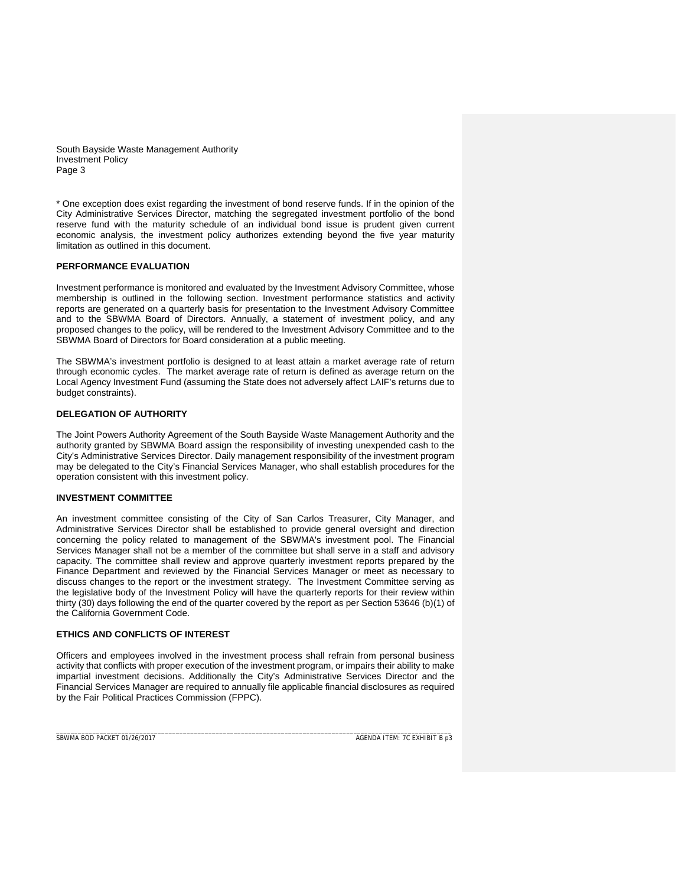\* One exception does exist regarding the investment of bond reserve funds. If in the opinion of the City Administrative Services Director, matching the segregated investment portfolio of the bond reserve fund with the maturity schedule of an individual bond issue is prudent given current economic analysis, the investment policy authorizes extending beyond the five year maturity limitation as outlined in this document.

## **PERFORMANCE EVALUATION**

Investment performance is monitored and evaluated by the Investment Advisory Committee, whose membership is outlined in the following section. Investment performance statistics and activity reports are generated on a quarterly basis for presentation to the Investment Advisory Committee and to the SBWMA Board of Directors. Annually, a statement of investment policy, and any proposed changes to the policy, will be rendered to the Investment Advisory Committee and to the SBWMA Board of Directors for Board consideration at a public meeting.

The SBWMA's investment portfolio is designed to at least attain a market average rate of return through economic cycles. The market average rate of return is defined as average return on the Local Agency Investment Fund (assuming the State does not adversely affect LAIF's returns due to budget constraints).

## **DELEGATION OF AUTHORITY**

The Joint Powers Authority Agreement of the South Bayside Waste Management Authority and the authority granted by SBWMA Board assign the responsibility of investing unexpended cash to the City's Administrative Services Director. Daily management responsibility of the investment program may be delegated to the City's Financial Services Manager, who shall establish procedures for the operation consistent with this investment policy.

## **INVESTMENT COMMITTEE**

An investment committee consisting of the City of San Carlos Treasurer, City Manager, and Administrative Services Director shall be established to provide general oversight and direction concerning the policy related to management of the SBWMA's investment pool. The Financial Services Manager shall not be a member of the committee but shall serve in a staff and advisory capacity. The committee shall review and approve quarterly investment reports prepared by the Finance Department and reviewed by the Financial Services Manager or meet as necessary to discuss changes to the report or the investment strategy. The Investment Committee serving as the legislative body of the Investment Policy will have the quarterly reports for their review within thirty (30) days following the end of the quarter covered by the report as per Section 53646 (b)(1) of the California Government Code.

### **ETHICS AND CONFLICTS OF INTEREST**

Officers and employees involved in the investment process shall refrain from personal business activity that conflicts with proper execution of the investment program, or impairs their ability to make impartial investment decisions. Additionally the City's Administrative Services Director and the Financial Services Manager are required to annually file applicable financial disclosures as required by the Fair Political Practices Commission (FPPC).

\_\_\_\_\_\_\_\_\_\_\_\_\_\_\_\_\_\_\_\_\_\_\_\_\_\_\_\_\_\_\_\_\_\_\_\_\_\_\_\_\_\_\_\_\_\_\_\_\_\_\_\_\_\_\_\_\_\_\_\_\_\_\_\_\_\_\_\_\_\_\_\_\_\_\_\_\_\_\_\_\_\_\_\_\_\_\_\_\_\_\_\_\_\_\_\_\_\_\_\_\_\_\_\_\_\_\_\_\_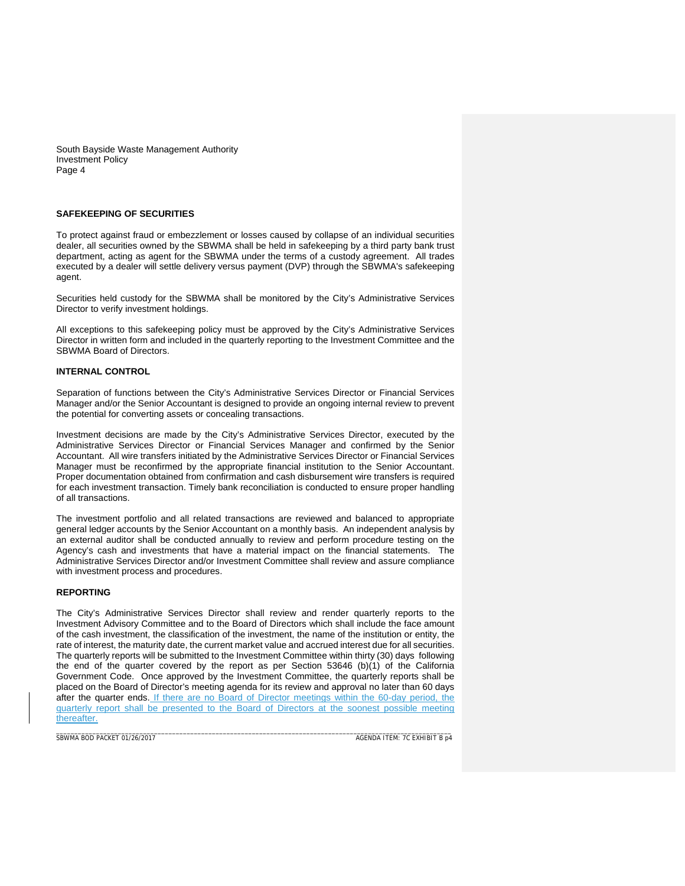# **SAFEKEEPING OF SECURITIES**

To protect against fraud or embezzlement or losses caused by collapse of an individual securities dealer, all securities owned by the SBWMA shall be held in safekeeping by a third party bank trust department, acting as agent for the SBWMA under the terms of a custody agreement. All trades executed by a dealer will settle delivery versus payment (DVP) through the SBWMA's safekeeping agent.

Securities held custody for the SBWMA shall be monitored by the City's Administrative Services Director to verify investment holdings.

All exceptions to this safekeeping policy must be approved by the City's Administrative Services Director in written form and included in the quarterly reporting to the Investment Committee and the SBWMA Board of Directors.

#### **INTERNAL CONTROL**

Separation of functions between the City's Administrative Services Director or Financial Services Manager and/or the Senior Accountant is designed to provide an ongoing internal review to prevent the potential for converting assets or concealing transactions.

Investment decisions are made by the City's Administrative Services Director, executed by the Administrative Services Director or Financial Services Manager and confirmed by the Senior Accountant. All wire transfers initiated by the Administrative Services Director or Financial Services Manager must be reconfirmed by the appropriate financial institution to the Senior Accountant. Proper documentation obtained from confirmation and cash disbursement wire transfers is required for each investment transaction. Timely bank reconciliation is conducted to ensure proper handling of all transactions.

The investment portfolio and all related transactions are reviewed and balanced to appropriate general ledger accounts by the Senior Accountant on a monthly basis. An independent analysis by an external auditor shall be conducted annually to review and perform procedure testing on the Agency's cash and investments that have a material impact on the financial statements. The Administrative Services Director and/or Investment Committee shall review and assure compliance with investment process and procedures.

## **REPORTING**

The City's Administrative Services Director shall review and render quarterly reports to the Investment Advisory Committee and to the Board of Directors which shall include the face amount of the cash investment, the classification of the investment, the name of the institution or entity, the rate of interest, the maturity date, the current market value and accrued interest due for all securities. The quarterly reports will be submitted to the Investment Committee within thirty (30) days following the end of the quarter covered by the report as per Section 53646 (b)(1) of the California Government Code. Once approved by the Investment Committee, the quarterly reports shall be placed on the Board of Director's meeting agenda for its review and approval no later than 60 days after the quarter ends. If there are no Board of Director meetings within the 60-day period, the quarterly report shall be presented to the Board of Directors at the soonest possible meeting thereafter.

\_\_\_\_\_\_\_\_\_\_\_\_\_\_\_\_\_\_\_\_\_\_\_\_\_\_\_\_\_\_\_\_\_\_\_\_\_\_\_\_\_\_\_\_\_\_\_\_\_\_\_\_\_\_\_\_\_\_\_\_\_\_\_\_\_\_\_\_\_\_\_\_\_\_\_\_\_\_\_\_\_\_\_\_\_\_\_\_\_\_\_\_\_\_\_\_\_\_\_\_\_\_\_\_\_\_\_\_\_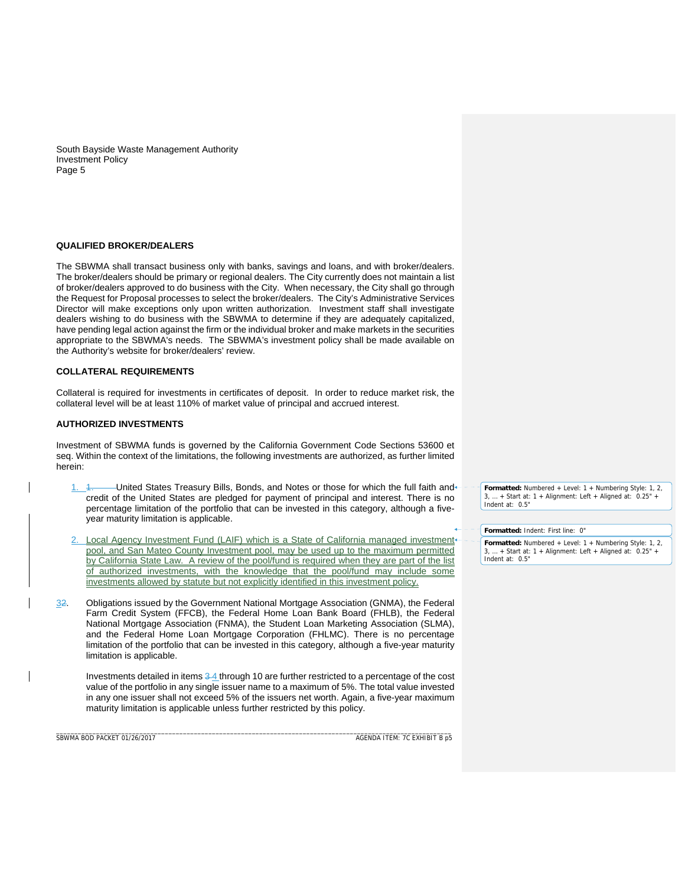# **QUALIFIED BROKER/DEALERS**

The SBWMA shall transact business only with banks, savings and loans, and with broker/dealers. The broker/dealers should be primary or regional dealers. The City currently does not maintain a list of broker/dealers approved to do business with the City. When necessary, the City shall go through the Request for Proposal processes to select the broker/dealers. The City's Administrative Services Director will make exceptions only upon written authorization. Investment staff shall investigate dealers wishing to do business with the SBWMA to determine if they are adequately capitalized, have pending legal action against the firm or the individual broker and make markets in the securities appropriate to the SBWMA's needs. The SBWMA's investment policy shall be made available on the Authority's website for broker/dealers' review.

#### **COLLATERAL REQUIREMENTS**

Collateral is required for investments in certificates of deposit. In order to reduce market risk, the collateral level will be at least 110% of market value of principal and accrued interest.

#### **AUTHORIZED INVESTMENTS**

Investment of SBWMA funds is governed by the California Government Code Sections 53600 et seq. Within the context of the limitations, the following investments are authorized, as further limited herein:

- 1. 4. - - United States Treasury Bills, Bonds, and Notes or those for which the full faith and credit of the United States are pledged for payment of principal and interest. There is no percentage limitation of the portfolio that can be invested in this category, although a fiveyear maturity limitation is applicable.
- Local Agency Investment Fund (LAIF) which is a State of California managed investment pool, and San Mateo County Investment pool, may be used up to the maximum permitted by California State Law. A review of the pool/fund is required when they are part of the list of authorized investments, with the knowledge that the pool/fund may include investments allowed by statute but not explicitly identified in this investment policy.
- 32. Obligations issued by the Government National Mortgage Association (GNMA), the Federal Farm Credit System (FFCB), the Federal Home Loan Bank Board (FHLB), the Federal National Mortgage Association (FNMA), the Student Loan Marketing Association (SLMA), and the Federal Home Loan Mortgage Corporation (FHLMC). There is no percentage limitation of the portfolio that can be invested in this category, although a five-year maturity limitation is applicable.

\_\_\_\_\_\_\_\_\_\_\_\_\_\_\_\_\_\_\_\_\_\_\_\_\_\_\_\_\_\_\_\_\_\_\_\_\_\_\_\_\_\_\_\_\_\_\_\_\_\_\_\_\_\_\_\_\_\_\_\_\_\_\_\_\_\_\_\_\_\_\_\_\_\_\_\_\_\_\_\_\_\_\_\_\_\_\_\_\_\_\_\_\_\_\_\_\_\_\_\_\_\_\_\_\_\_\_\_\_

Investments detailed in items 3 4 through 10 are further restricted to a percentage of the cost value of the portfolio in any single issuer name to a maximum of 5%. The total value invested in any one issuer shall not exceed 5% of the issuers net worth. Again, a five-year maximum maturity limitation is applicable unless further restricted by this policy.

SBWMA BOD PACKET 01/26/2017AGENDA ITEM: 7C EXHIBIT B p5

**Formatted:** Numbered + Level: 1 + Numbering Style: 1, 2, 3, … + Start at: 1 + Alignment: Left + Aligned at: 0.25" + Indent at: 0.5"

**Formatted:** Indent: First line: 0"

**Formatted:** Numbered + Level: 1 + Numbering Style: 1, 2, 3, … + Start at: 1 + Alignment: Left + Aligned at: 0.25" + Indent at: 0.5"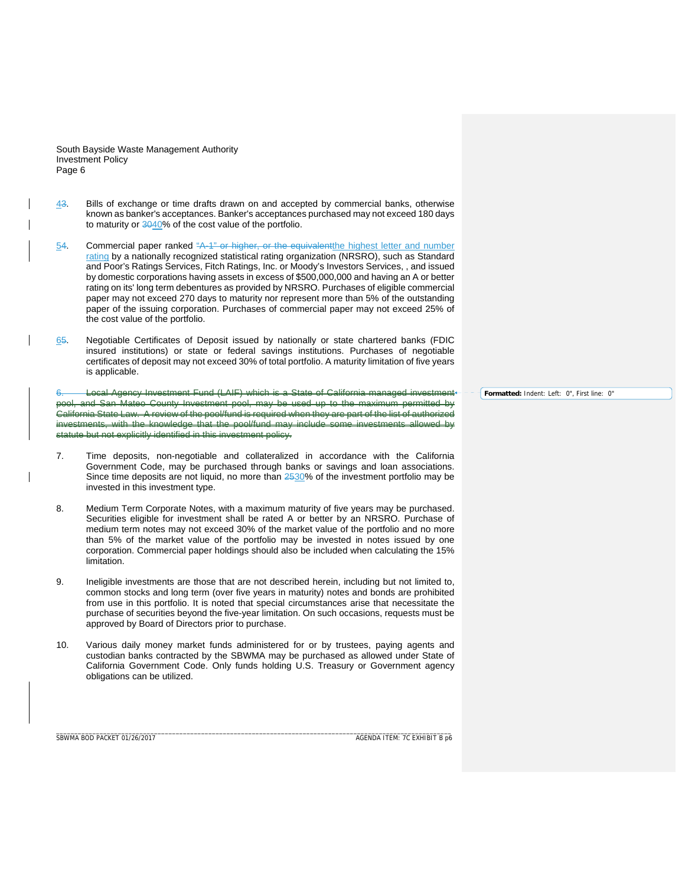- 43. Bills of exchange or time drafts drawn on and accepted by commercial banks, otherwise known as banker's acceptances. Banker's acceptances purchased may not exceed 180 days to maturity or 3040% of the cost value of the portfolio.
- 54. Commercial paper ranked "A-1" or higher, or the equivalentthe highest letter and number rating by a nationally recognized statistical rating organization (NRSRO), such as Standard and Poor's Ratings Services, Fitch Ratings, Inc. or Moody's Investors Services, , and issued by domestic corporations having assets in excess of \$500,000,000 and having an A or better rating on its' long term debentures as provided by NRSRO. Purchases of eligible commercial paper may not exceed 270 days to maturity nor represent more than 5% of the outstanding paper of the issuing corporation. Purchases of commercial paper may not exceed 25% of the cost value of the portfolio.
- 65. Negotiable Certificates of Deposit issued by nationally or state chartered banks (FDIC insured institutions) or state or federal savings institutions. Purchases of negotiable certificates of deposit may not exceed 30% of total portfolio. A maturity limitation of five years is applicable.

6. Local Agency Investment Fund (LAIF) which is a State of California managed investment pool, and San Mateo County Investment pool, may be used up to the maximum permitted by .<br>California State Law. A review of the pool/fund is required when they are part of the list of with the knowledge that the pool/fund may include statute but not explicitly identified in this investment policy.

- 7. Time deposits, non-negotiable and collateralized in accordance with the California Government Code, may be purchased through banks or savings and loan associations. Since time deposits are not liquid, no more than 2530% of the investment portfolio may be invested in this investment type.
- 8. Medium Term Corporate Notes, with a maximum maturity of five years may be purchased. Securities eligible for investment shall be rated A or better by an NRSRO. Purchase of medium term notes may not exceed 30% of the market value of the portfolio and no more than 5% of the market value of the portfolio may be invested in notes issued by one corporation. Commercial paper holdings should also be included when calculating the 15% limitation.
- 9. Ineligible investments are those that are not described herein, including but not limited to, common stocks and long term (over five years in maturity) notes and bonds are prohibited from use in this portfolio. It is noted that special circumstances arise that necessitate the purchase of securities beyond the five-year limitation. On such occasions, requests must be approved by Board of Directors prior to purchase.
- 10. Various daily money market funds administered for or by trustees, paying agents and custodian banks contracted by the SBWMA may be purchased as allowed under State of California Government Code. Only funds holding U.S. Treasury or Government agency obligations can be utilized.

\_\_\_\_\_\_\_\_\_\_\_\_\_\_\_\_\_\_\_\_\_\_\_\_\_\_\_\_\_\_\_\_\_\_\_\_\_\_\_\_\_\_\_\_\_\_\_\_\_\_\_\_\_\_\_\_\_\_\_\_\_\_\_\_\_\_\_\_\_\_\_\_\_\_\_\_\_\_\_\_\_\_\_\_\_\_\_\_\_\_\_\_\_\_\_\_\_\_\_\_\_\_\_\_\_\_\_\_\_

SBWMA BOD PACKET 01/26/2017AGENDA ITEM: 7C EXHIBIT B p6

**Formatted:** Indent: Left: 0", First line: 0"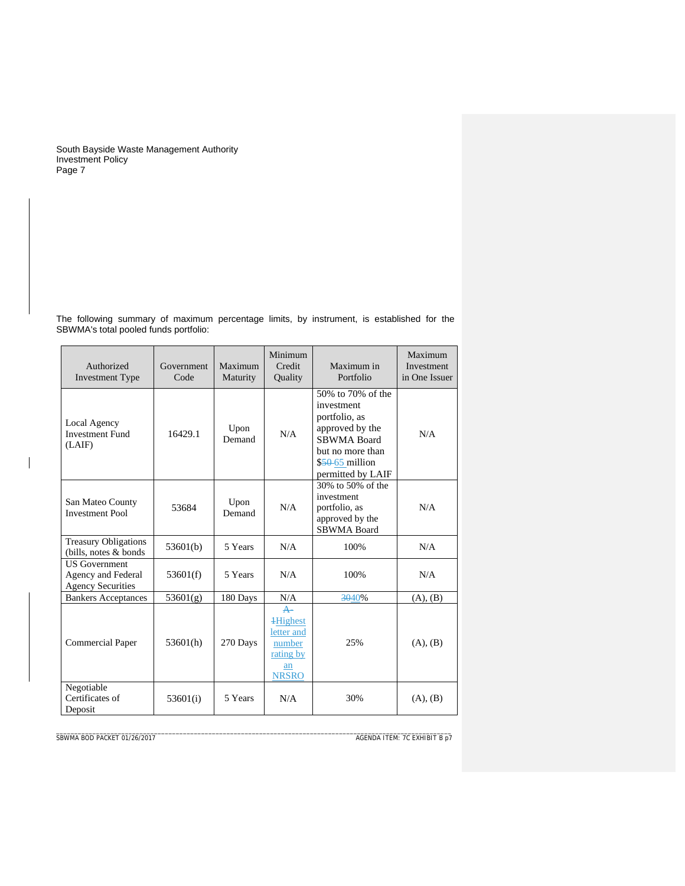The following summary of maximum percentage limits, by instrument, is established for the SBWMA's total pooled funds portfolio:

| Authorized<br><b>Investment Type</b>                                   | Government<br>Code | Maximum<br>Maturity | Minimum<br>Credit<br>Quality                                                               | Maximum in<br>Portfolio                                                                                                                         | Maximum<br>Investment<br>in One Issuer |
|------------------------------------------------------------------------|--------------------|---------------------|--------------------------------------------------------------------------------------------|-------------------------------------------------------------------------------------------------------------------------------------------------|----------------------------------------|
| Local Agency<br><b>Investment Fund</b><br>(LAIF)                       | 16429.1            | Upon<br>Demand      | N/A                                                                                        | 50% to 70% of the<br>investment<br>portfolio, as<br>approved by the<br>SBWMA Board<br>but no more than<br>$$50-65$ million<br>permitted by LAIF | N/A                                    |
| San Mateo County<br><b>Investment Pool</b>                             | 53684              | Upon<br>Demand      | N/A                                                                                        | 30% to 50% of the<br>investment<br>portfolio, as<br>approved by the<br><b>SBWMA Board</b>                                                       | N/A                                    |
| <b>Treasury Obligations</b><br>(bills, notes & bonds)                  | 53601(b)           | 5 Years             | N/A                                                                                        | 100%                                                                                                                                            | N/A                                    |
| <b>US</b> Government<br>Agency and Federal<br><b>Agency Securities</b> | 53601(f)           | 5 Years             | N/A                                                                                        | 100%                                                                                                                                            | N/A                                    |
| <b>Bankers Acceptances</b>                                             | 53601(g)           | 180 Days            | N/A                                                                                        | 3040%                                                                                                                                           | (A), (B)                               |
| <b>Commercial Paper</b>                                                | 53601(h)           | 270 Days            | $\leftarrow$<br><b>+Highest</b><br>letter and<br>number<br>rating by<br>an<br><b>NRSRO</b> | 25%                                                                                                                                             | (A), (B)                               |
| Negotiable<br>Certificates of<br>Deposit                               | 53601(i)           | 5 Years             | N/A                                                                                        | 30%                                                                                                                                             | (A), (B)                               |

**SBWMA BOD PACKET 01/26/2017** 

 $\overline{\phantom{a}}$ 

AGENDA ITEM: 7C EXHIBIT B p7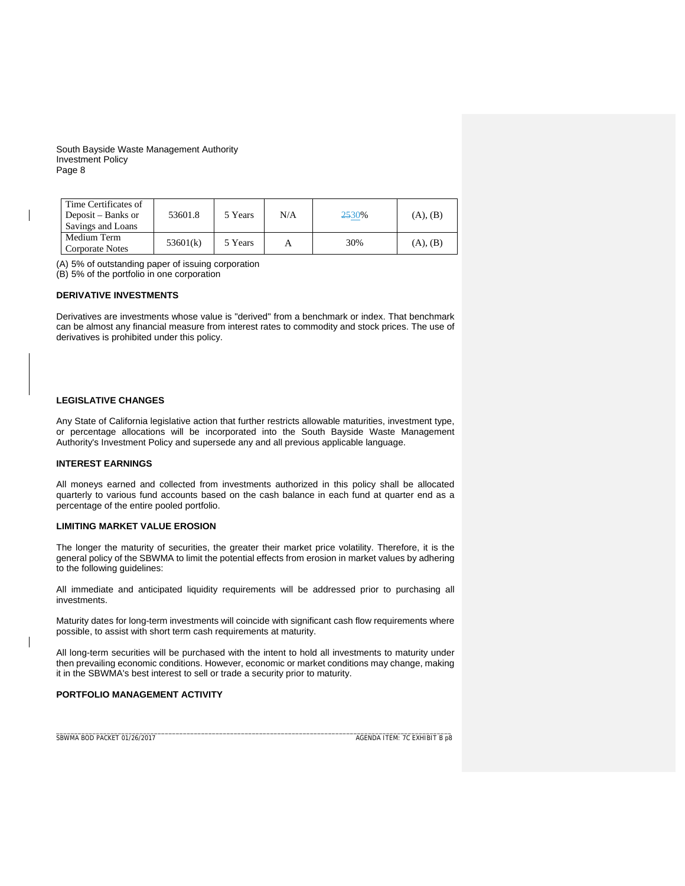| Time Certificates of<br>Deposit – Banks or<br>Savings and Loans | 53601.8  | 5 Years | N/A | 2530% | (A), (B) |
|-----------------------------------------------------------------|----------|---------|-----|-------|----------|
| Medium Term<br>Corporate Notes                                  | 53601(k) | 5 Years |     | 30%   | (A), (B) |

(A) 5% of outstanding paper of issuing corporation

(B) 5% of the portfolio in one corporation

# **DERIVATIVE INVESTMENTS**

Derivatives are investments whose value is "derived" from a benchmark or index. That benchmark can be almost any financial measure from interest rates to commodity and stock prices. The use of derivatives is prohibited under this policy.

# **LEGISLATIVE CHANGES**

Any State of California legislative action that further restricts allowable maturities, investment type, or percentage allocations will be incorporated into the South Bayside Waste Management Authority's Investment Policy and supersede any and all previous applicable language.

### **INTEREST EARNINGS**

All moneys earned and collected from investments authorized in this policy shall be allocated quarterly to various fund accounts based on the cash balance in each fund at quarter end as a percentage of the entire pooled portfolio.

# **LIMITING MARKET VALUE EROSION**

The longer the maturity of securities, the greater their market price volatility. Therefore, it is the general policy of the SBWMA to limit the potential effects from erosion in market values by adhering to the following guidelines:

All immediate and anticipated liquidity requirements will be addressed prior to purchasing all investments.

Maturity dates for long-term investments will coincide with significant cash flow requirements where possible, to assist with short term cash requirements at maturity.

All long-term securities will be purchased with the intent to hold all investments to maturity under then prevailing economic conditions. However, economic or market conditions may change, making it in the SBWMA's best interest to sell or trade a security prior to maturity.

### **PORTFOLIO MANAGEMENT ACTIVITY**

\_\_\_\_\_\_\_\_\_\_\_\_\_\_\_\_\_\_\_\_\_\_\_\_\_\_\_\_\_\_\_\_\_\_\_\_\_\_\_\_\_\_\_\_\_\_\_\_\_\_\_\_\_\_\_\_\_\_\_\_\_\_\_\_\_\_\_\_\_\_\_\_\_\_\_\_\_\_\_\_\_\_\_\_\_\_\_\_\_\_\_\_\_\_\_\_\_\_\_\_\_\_\_\_\_\_\_\_\_ SBWMA BOD PACKET 01/26/2017AGENDA ITEM: 7C EXHIBIT B p8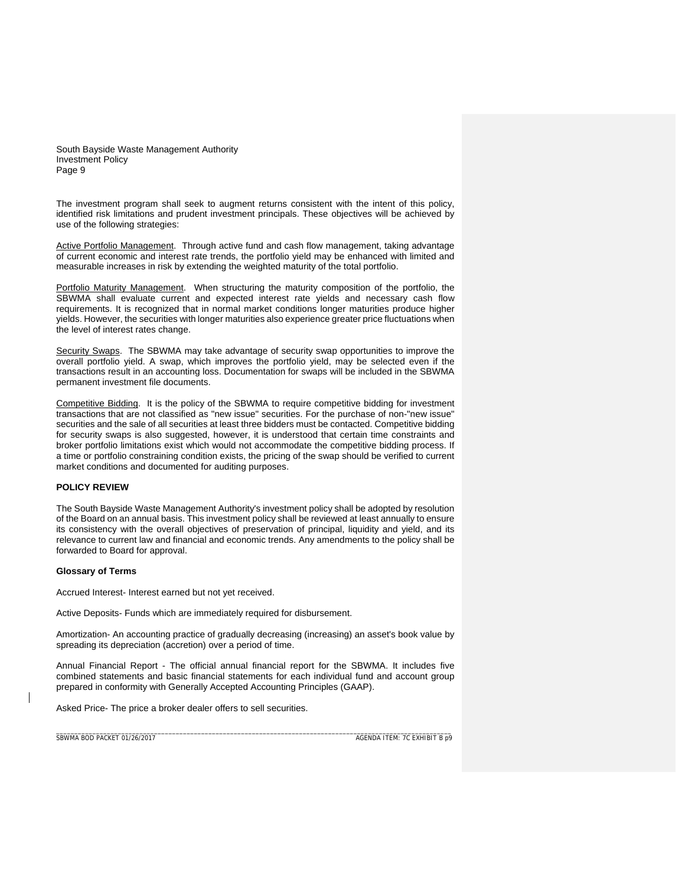The investment program shall seek to augment returns consistent with the intent of this policy, identified risk limitations and prudent investment principals. These objectives will be achieved by use of the following strategies:

Active Portfolio Management. Through active fund and cash flow management, taking advantage of current economic and interest rate trends, the portfolio yield may be enhanced with limited and measurable increases in risk by extending the weighted maturity of the total portfolio.

Portfolio Maturity Management. When structuring the maturity composition of the portfolio, the SBWMA shall evaluate current and expected interest rate yields and necessary cash flow requirements. It is recognized that in normal market conditions longer maturities produce higher yields. However, the securities with longer maturities also experience greater price fluctuations when the level of interest rates change.

Security Swaps. The SBWMA may take advantage of security swap opportunities to improve the overall portfolio yield. A swap, which improves the portfolio yield, may be selected even if the transactions result in an accounting loss. Documentation for swaps will be included in the SBWMA permanent investment file documents.

Competitive Bidding. It is the policy of the SBWMA to require competitive bidding for investment transactions that are not classified as "new issue" securities. For the purchase of non-"new issue" securities and the sale of all securities at least three bidders must be contacted. Competitive bidding for security swaps is also suggested, however, it is understood that certain time constraints and broker portfolio limitations exist which would not accommodate the competitive bidding process. If a time or portfolio constraining condition exists, the pricing of the swap should be verified to current market conditions and documented for auditing purposes.

# **POLICY REVIEW**

The South Bayside Waste Management Authority's investment policy shall be adopted by resolution of the Board on an annual basis. This investment policy shall be reviewed at least annually to ensure its consistency with the overall objectives of preservation of principal, liquidity and yield, and its relevance to current law and financial and economic trends. Any amendments to the policy shall be forwarded to Board for approval.

### **Glossary of Terms**

Accrued Interest- Interest earned but not yet received.

Active Deposits- Funds which are immediately required for disbursement.

Amortization- An accounting practice of gradually decreasing (increasing) an asset's book value by spreading its depreciation (accretion) over a period of time.

Annual Financial Report - The official annual financial report for the SBWMA. It includes five combined statements and basic financial statements for each individual fund and account group prepared in conformity with Generally Accepted Accounting Principles (GAAP).

Asked Price- The price a broker dealer offers to sell securities.

\_\_\_\_\_\_\_\_\_\_\_\_\_\_\_\_\_\_\_\_\_\_\_\_\_\_\_\_\_\_\_\_\_\_\_\_\_\_\_\_\_\_\_\_\_\_\_\_\_\_\_\_\_\_\_\_\_\_\_\_\_\_\_\_\_\_\_\_\_\_\_\_\_\_\_\_\_\_\_\_\_\_\_\_\_\_\_\_\_\_\_\_\_\_\_\_\_\_\_\_\_\_\_\_\_\_\_\_\_ SBWMA BOD PACKET 01/26/2017AGENDA ITEM: 7C EXHIBIT B p9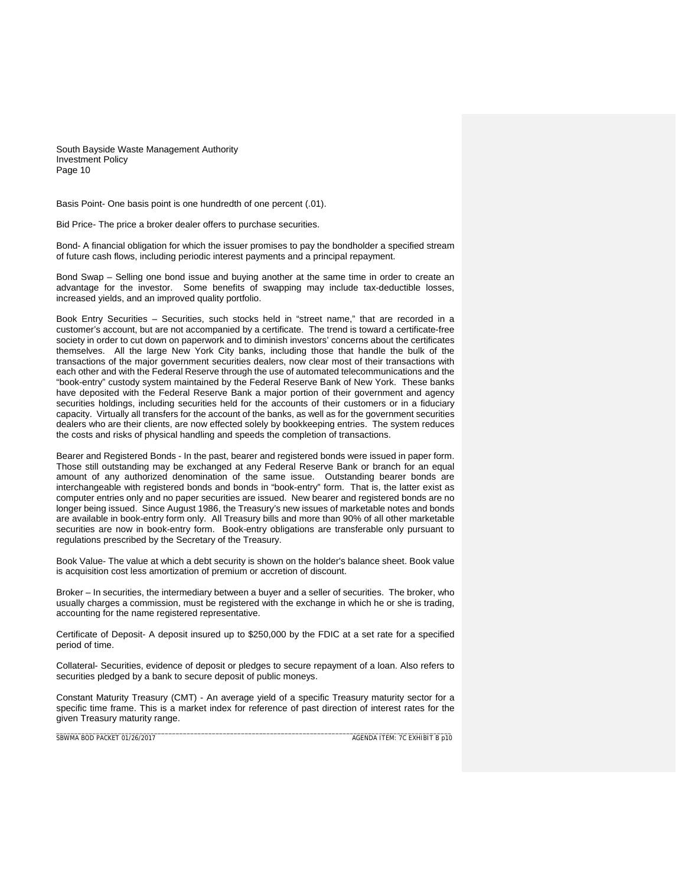Basis Point- One basis point is one hundredth of one percent (.01).

Bid Price- The price a broker dealer offers to purchase securities.

Bond- A financial obligation for which the issuer promises to pay the bondholder a specified stream of future cash flows, including periodic interest payments and a principal repayment.

Bond Swap – Selling one bond issue and buying another at the same time in order to create an advantage for the investor. Some benefits of swapping may include tax-deductible losses, increased yields, and an improved quality portfolio.

Book Entry Securities – Securities, such stocks held in "street name," that are recorded in a customer's account, but are not accompanied by a certificate. The trend is toward a certificate-free society in order to cut down on paperwork and to diminish investors' concerns about the certificates themselves. All the large New York City banks, including those that handle the bulk of the transactions of the major government securities dealers, now clear most of their transactions with each other and with the Federal Reserve through the use of automated telecommunications and the "book-entry" custody system maintained by the Federal Reserve Bank of New York. These banks have deposited with the Federal Reserve Bank a major portion of their government and agency securities holdings, including securities held for the accounts of their customers or in a fiduciary capacity. Virtually all transfers for the account of the banks, as well as for the government securities dealers who are their clients, are now effected solely by bookkeeping entries. The system reduces the costs and risks of physical handling and speeds the completion of transactions.

Bearer and Registered Bonds - In the past, bearer and registered bonds were issued in paper form. Those still outstanding may be exchanged at any Federal Reserve Bank or branch for an equal amount of any authorized denomination of the same issue. Outstanding bearer bonds are interchangeable with registered bonds and bonds in "book-entry" form. That is, the latter exist as computer entries only and no paper securities are issued. New bearer and registered bonds are no longer being issued. Since August 1986, the Treasury's new issues of marketable notes and bonds are available in book-entry form only. All Treasury bills and more than 90% of all other marketable securities are now in book-entry form. Book-entry obligations are transferable only pursuant to regulations prescribed by the Secretary of the Treasury.

Book Value- The value at which a debt security is shown on the holder's balance sheet. Book value is acquisition cost less amortization of premium or accretion of discount.

Broker – In securities, the intermediary between a buyer and a seller of securities. The broker, who usually charges a commission, must be registered with the exchange in which he or she is trading, accounting for the name registered representative.

Certificate of Deposit- A deposit insured up to \$250,000 by the FDIC at a set rate for a specified period of time.

Collateral- Securities, evidence of deposit or pledges to secure repayment of a loan. Also refers to securities pledged by a bank to secure deposit of public moneys.

\_\_\_\_\_\_\_\_\_\_\_\_\_\_\_\_\_\_\_\_\_\_\_\_\_\_\_\_\_\_\_\_\_\_\_\_\_\_\_\_\_\_\_\_\_\_\_\_\_\_\_\_\_\_\_\_\_\_\_\_\_\_\_\_\_\_\_\_\_\_\_\_\_\_\_\_\_\_\_\_\_\_\_\_\_\_\_\_\_\_\_\_\_\_\_\_\_\_\_\_\_\_\_\_\_\_\_\_\_ Constant Maturity Treasury (CMT) - An average yield of a specific Treasury maturity sector for a specific time frame. This is a market index for reference of past direction of interest rates for the given Treasury maturity range.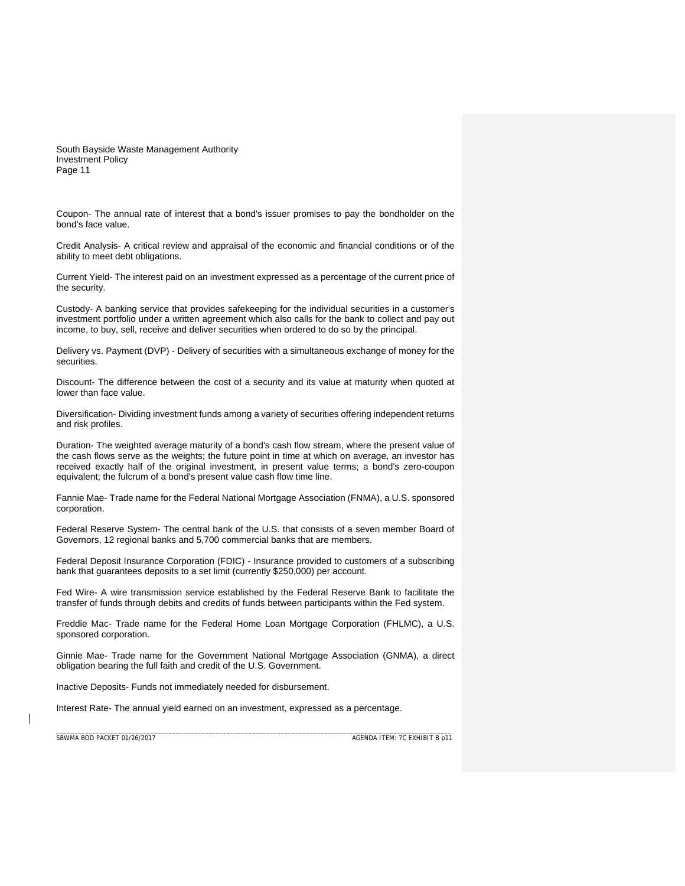Coupon- The annual rate of interest that a bond's issuer promises to pay the bondholder on the bond's face value.

Credit Analysis- A critical review and appraisal of the economic and financial conditions or of the ability to meet debt obligations.

Current Yield- The interest paid on an investment expressed as a percentage of the current price of the security.

Custody- A banking service that provides safekeeping for the individual securities in a customer's investment portfolio under a written agreement which also calls for the bank to collect and pay out income, to buy, sell, receive and deliver securities when ordered to do so by the principal.

Delivery vs. Payment (DVP) - Delivery of securities with a simultaneous exchange of money for the securities.

Discount- The difference between the cost of a security and its value at maturity when quoted at lower than face value.

Diversification- Dividing investment funds among a variety of securities offering independent returns and risk profiles.

Duration- The weighted average maturity of a bond's cash flow stream, where the present value of the cash flows serve as the weights; the future point in time at which on average, an investor has received exactly half of the original investment, in present value terms; a bond's zero-coupon equivalent; the fulcrum of a bond's present value cash flow time line.

Fannie Mae- Trade name for the Federal National Mortgage Association (FNMA), a U.S. sponsored corporation.

Federal Reserve System- The central bank of the U.S. that consists of a seven member Board of Governors, 12 regional banks and 5,700 commercial banks that are members.

Federal Deposit Insurance Corporation (FDIC) - Insurance provided to customers of a subscribing bank that guarantees deposits to a set limit (currently \$250,000) per account.

Fed Wire- A wire transmission service established by the Federal Reserve Bank to facilitate the transfer of funds through debits and credits of funds between participants within the Fed system.

Freddie Mac- Trade name for the Federal Home Loan Mortgage Corporation (FHLMC), a U.S. sponsored corporation.

Ginnie Mae- Trade name for the Government National Mortgage Association (GNMA), a direct obligation bearing the full faith and credit of the U.S. Government.

Inactive Deposits- Funds not immediately needed for disbursement.

Interest Rate- The annual yield earned on an investment, expressed as a percentage.

SBWMA BOD PACKET 01/26/2017AGENDA ITEM: 7C EXHIBIT B p11

\_\_\_\_\_\_\_\_\_\_\_\_\_\_\_\_\_\_\_\_\_\_\_\_\_\_\_\_\_\_\_\_\_\_\_\_\_\_\_\_\_\_\_\_\_\_\_\_\_\_\_\_\_\_\_\_\_\_\_\_\_\_\_\_\_\_\_\_\_\_\_\_\_\_\_\_\_\_\_\_\_\_\_\_\_\_\_\_\_\_\_\_\_\_\_\_\_\_\_\_\_\_\_\_\_\_\_\_\_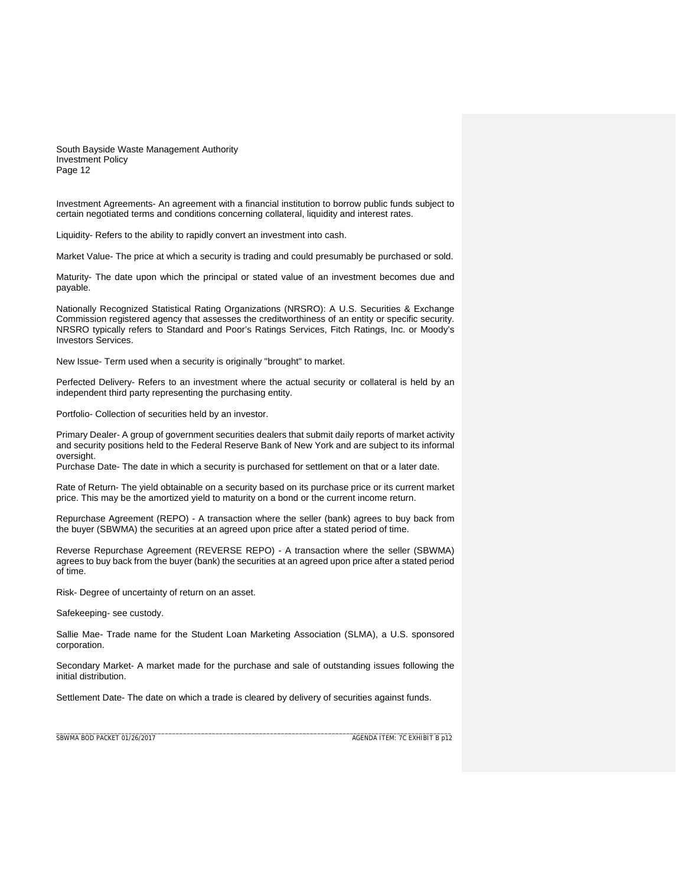Investment Agreements- An agreement with a financial institution to borrow public funds subject to certain negotiated terms and conditions concerning collateral, liquidity and interest rates.

Liquidity- Refers to the ability to rapidly convert an investment into cash.

Market Value- The price at which a security is trading and could presumably be purchased or sold.

Maturity- The date upon which the principal or stated value of an investment becomes due and payable.

Nationally Recognized Statistical Rating Organizations (NRSRO): A U.S. Securities & Exchange Commission registered agency that assesses the creditworthiness of an entity or specific security. NRSRO typically refers to Standard and Poor's Ratings Services, Fitch Ratings, Inc. or Moody's Investors Services.

New Issue- Term used when a security is originally "brought" to market.

Perfected Delivery- Refers to an investment where the actual security or collateral is held by an independent third party representing the purchasing entity.

Portfolio- Collection of securities held by an investor.

Primary Dealer- A group of government securities dealers that submit daily reports of market activity and security positions held to the Federal Reserve Bank of New York and are subject to its informal oversight.

Purchase Date- The date in which a security is purchased for settlement on that or a later date.

Rate of Return- The yield obtainable on a security based on its purchase price or its current market price. This may be the amortized yield to maturity on a bond or the current income return.

Repurchase Agreement (REPO) - A transaction where the seller (bank) agrees to buy back from the buyer (SBWMA) the securities at an agreed upon price after a stated period of time.

Reverse Repurchase Agreement (REVERSE REPO) - A transaction where the seller (SBWMA) agrees to buy back from the buyer (bank) the securities at an agreed upon price after a stated period of time.

Risk- Degree of uncertainty of return on an asset.

Safekeeping- see custody.

Sallie Mae- Trade name for the Student Loan Marketing Association (SLMA), a U.S. sponsored corporation.

Secondary Market- A market made for the purchase and sale of outstanding issues following the initial distribution.

\_\_\_\_\_\_\_\_\_\_\_\_\_\_\_\_\_\_\_\_\_\_\_\_\_\_\_\_\_\_\_\_\_\_\_\_\_\_\_\_\_\_\_\_\_\_\_\_\_\_\_\_\_\_\_\_\_\_\_\_\_\_\_\_\_\_\_\_\_\_\_\_\_\_\_\_\_\_\_\_\_\_\_\_\_\_\_\_\_\_\_\_\_\_\_\_\_\_\_\_\_\_\_\_\_\_\_\_\_

Settlement Date- The date on which a trade is cleared by delivery of securities against funds.